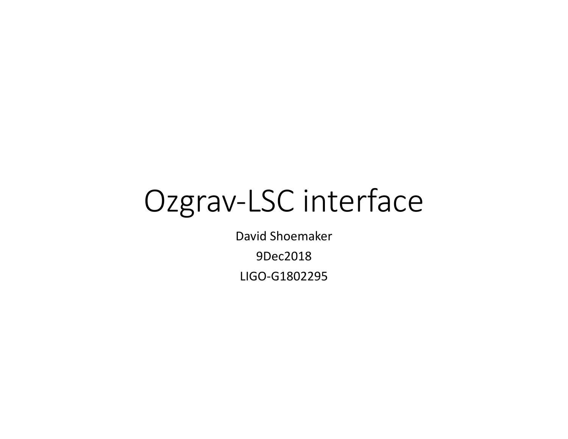# Ozgrav-LSC interface

David Shoemaker 9Dec2018 LIGO-G1802295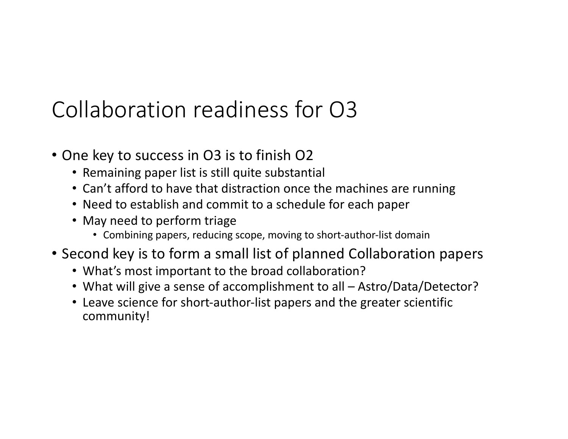#### Collaboration readiness for O3

- One key to success in O3 is to finish O2
	- Remaining paper list is still quite substantial
	- Can't afford to have that distraction once the machines are running
	- Need to establish and commit to a schedule for each paper
	- May need to perform triage
		- Combining papers, reducing scope, moving to short-author-list domain
- Second key is to form a small list of planned Collaboration papers
	- What's most important to the broad collaboration?
	- What will give a sense of accomplishment to all Astro/Data/Detector?
	- Leave science for short-author-list papers and the greater scientific community!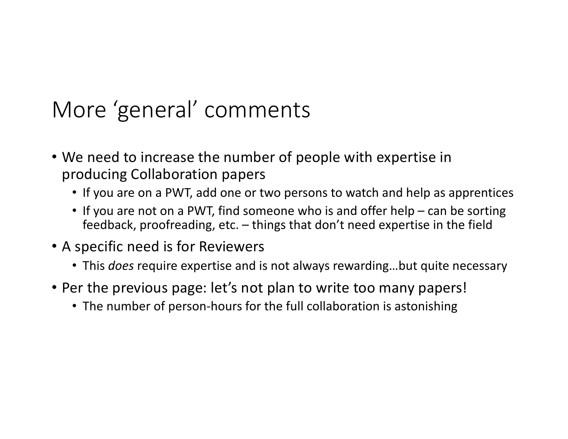## More 'general' comments

- We need to increase the number of people with expertise in producing Collaboration papers
	- If you are on a PWT, add one or two persons to watch and help as apprentices
	- If you are not on a PWT, find someone who is and offer help can be sorting feedback, proofreading, etc. – things that don't need expertise in the field
- A specific need is for Reviewers
	- This *does* require expertise and is not always rewarding…but quite necessary
- Per the previous page: let's not plan to write too many papers!
	- The number of person-hours for the full collaboration is astonishing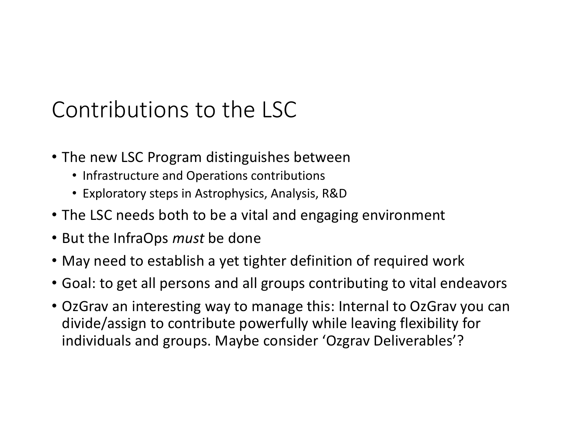## Contributions to the LSC

- The new LSC Program distinguishes between
	- Infrastructure and Operations contributions
	- Exploratory steps in Astrophysics, Analysis, R&D
- The LSC needs both to be a vital and engaging environment
- But the InfraOps *must* be done
- May need to establish a yet tighter definition of required work
- Goal: to get all persons and all groups contributing to vital endeavors
- OzGrav an interesting way to manage this: Internal to OzGrav you can divide/assign to contribute powerfully while leaving flexibility for individuals and groups. Maybe consider 'Ozgrav Deliverables'?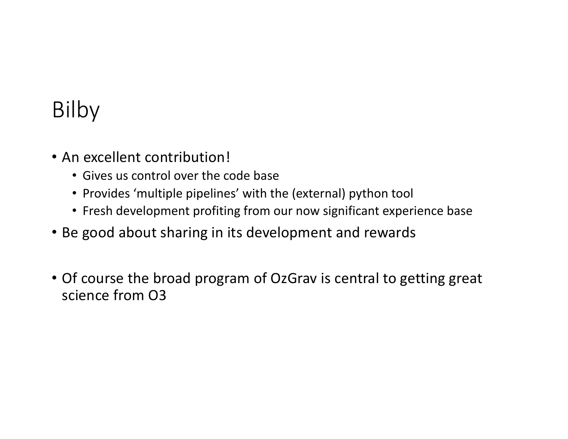#### Bilby

- An excellent contribution!
	- Gives us control over the code base
	- Provides 'multiple pipelines' with the (external) python tool
	- Fresh development profiting from our now significant experience base
- Be good about sharing in its development and rewards
- Of course the broad program of OzGrav is central to getting great science from O3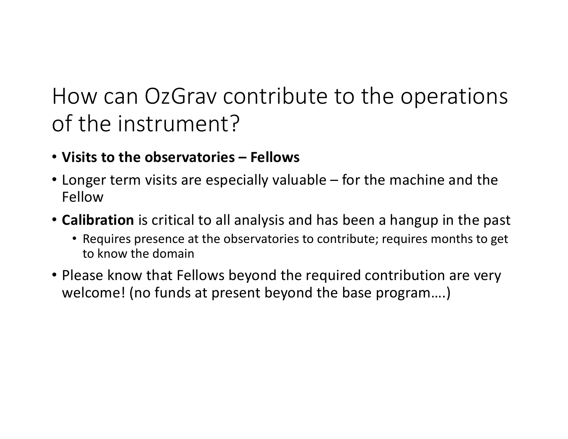#### How can OzGrav contribute to the operations of the instrument?

- **Visits to the observatories – Fellows**
- Longer term visits are especially valuable for the machine and the Fellow
- **Calibration** is critical to all analysis and has been a hangup in the past
	- Requires presence at the observatories to contribute; requires months to get to know the domain
- Please know that Fellows beyond the required contribution are very welcome! (no funds at present beyond the base program….)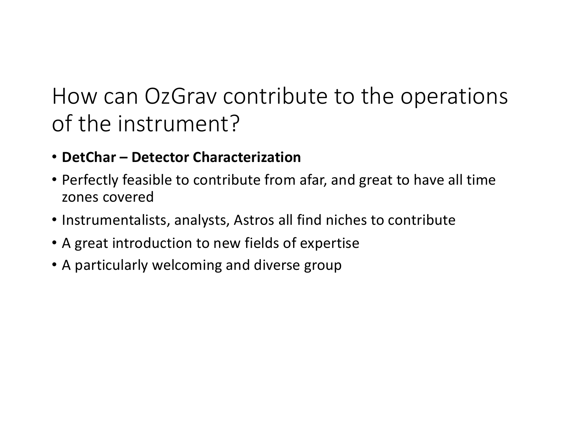## How can OzGrav contribute to the operations of the instrument?

- **DetChar – Detector Characterization**
- Perfectly feasible to contribute from afar, and great to have all time zones covered
- Instrumentalists, analysts, Astros all find niches to contribute
- A great introduction to new fields of expertise
- A particularly welcoming and diverse group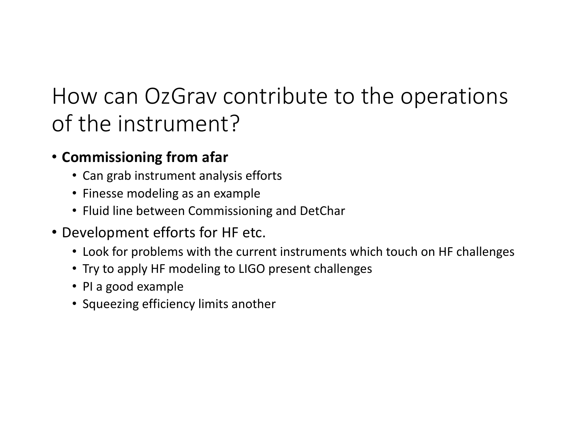## How can OzGrav contribute to the operations of the instrument?

#### • **Commissioning from afar**

- Can grab instrument analysis efforts
- Finesse modeling as an example
- Fluid line between Commissioning and DetChar
- Development efforts for HF etc.
	- Look for problems with the current instruments which touch on HF challenges
	- Try to apply HF modeling to LIGO present challenges
	- PI a good example
	- Squeezing efficiency limits another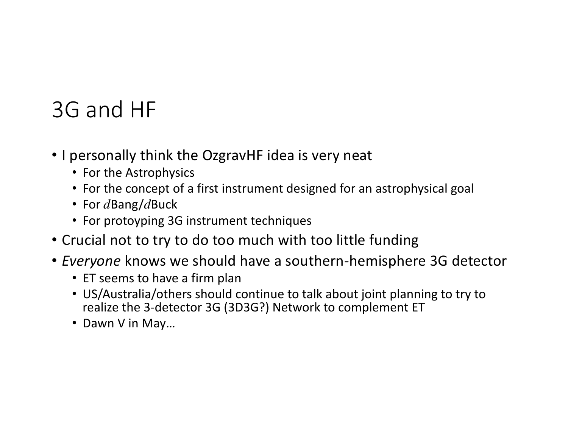## 3G and HF

- I personally think the OzgravHF idea is very neat
	- For the Astrophysics
	- For the concept of a first instrument designed for an astrophysical goal
	- For *d*Bang/*d*Buck
	- For protoyping 3G instrument techniques
- Crucial not to try to do too much with too little funding
- *Everyone* knows we should have a southern-hemisphere 3G detector
	- ET seems to have a firm plan
	- US/Australia/others should continue to talk about joint planning to try to realize the 3-detector 3G (3D3G?) Network to complement ET
	- Dawn V in May…